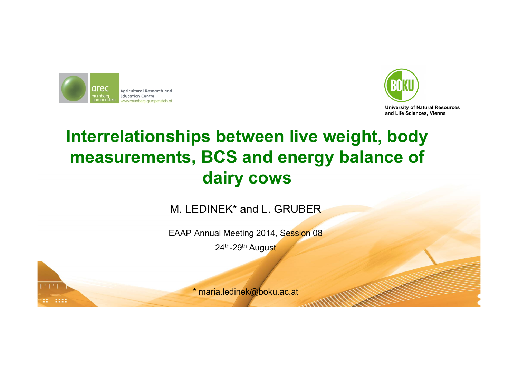



### **Interrelationships between live weight, body measurements, BCS and energy balance of dairy cows**

M. LEDINEK\* and L. GRUBER

EAAP Annual Meeting 2014, Session 08 24th-29th August



\* maria.ledinek@boku.ac.at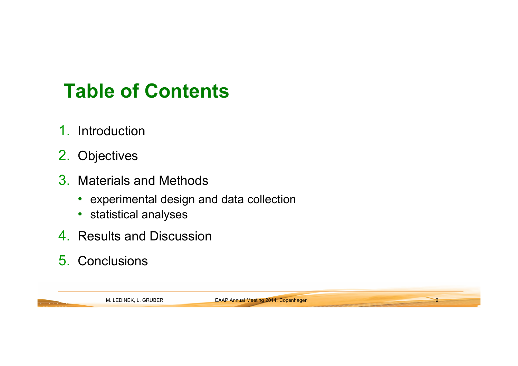# **Table of Contents**

- 1. Introduction
- 2. Objectives
- 3. Materials and Methods
	- experimental design and data collection
	- statistical analyses
- 4. Results and Discussion
- 5. Conclusions

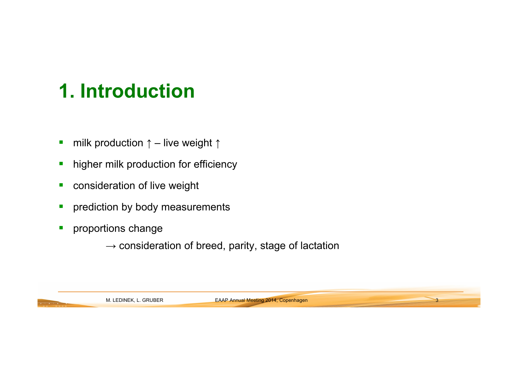# **1. Introduction**

- $\overline{\phantom{a}}$ milk production  $\uparrow$  – live weight  $\uparrow$
- $\overline{\phantom{a}}$ higher milk production for efficiency
- $\mathcal{L}_{\mathcal{A}}$ consideration of live weight
- $\mathcal{L}_{\mathcal{A}}$ prediction by body measurements
- $\overline{\phantom{a}}$  proportions change
	- $\rightarrow$  consideration of breed, parity, stage of lactation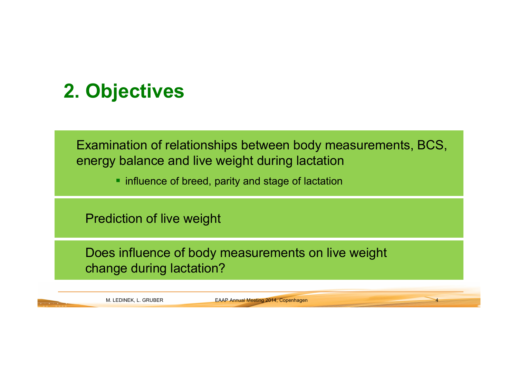# **2. Objectives**

Examination of relationships between body measurements, BCS, energy balance and live weight during lactation

**The influence of breed, parity and stage of lactation** 

Prediction of live weight

Does influence of body measurements on live weight change during lactation?

M. LEDINEK, L. GRUBER **EAAP Annual Meeting 2014, Copenhagen**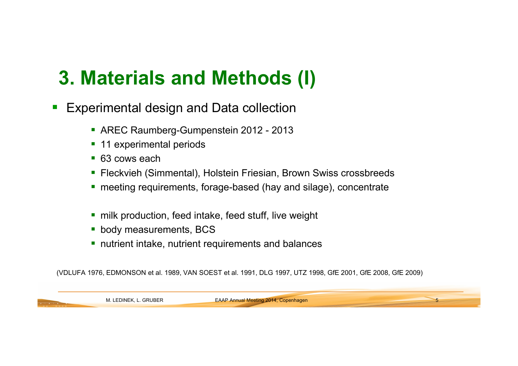# **3. Materials and Methods (I)**

- $\overline{\phantom{a}}$  Experimental design and Data collection
	- AREC Raumberg-Gumpenstein 2012 2013
	- **11 experimental periods**
	- 63 cows each
	- Fleckvieh (Simmental), Holstein Friesian, Brown Swiss crossbreeds
	- meeting requirements, forage-based (hay and silage), concentrate
	- **nance in Artice intake, feed stuff, live weight n**
	- **body measurements, BCS**
	- **nutrient intake, nutrient requirements and balances**

(VDLUFA 1976, EDMONSON et al. 1989, VAN SOEST et al. 1991, DLG 1997, UTZ 1998, GfE 2001, GfE 2008, GfE 2009)

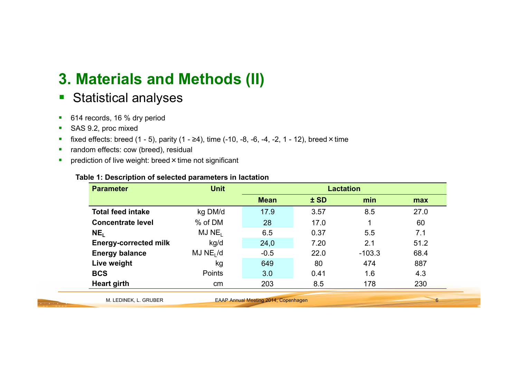### **3. Materials and Methods (II)**

- $\blacksquare$ Statistical analyses
- $\blacksquare$ 614 records, 16 % dry period
- $\blacksquare$ SAS 9.2, proc mixed
- $\blacksquare$ fixed effects: breed  $(1 - 5)$ , parity  $(1 - \ge 4)$ , time  $(-10, -8, -6, -4, -2, 1 - 12)$ , breed × time
- $\blacksquare$ random effects: cow (breed), residual
- $\blacksquare$ prediction of live weight: breed × time not significant

| Table 1: Description of selected parameters in lactation |  |
|----------------------------------------------------------|--|
|----------------------------------------------------------|--|

| <b>Parameter</b>             | <b>Unit</b>           | <b>Lactation</b>                            |        |          |      |
|------------------------------|-----------------------|---------------------------------------------|--------|----------|------|
|                              |                       | <b>Mean</b>                                 | $±$ SD | min      | max  |
| <b>Total feed intake</b>     | kg DM/d               | 17.9                                        | 3.57   | 8.5      | 27.0 |
| <b>Concentrate level</b>     | % of DM               | 28                                          | 17.0   |          | 60   |
| NE <sub>I</sub>              | MJ NE <sub>I</sub>    | 6.5                                         | 0.37   | 5.5      | 7.1  |
| <b>Energy-corrected milk</b> | kg/d                  | 24,0                                        | 7.20   | 2.1      | 51.2 |
| <b>Energy balance</b>        | MJ NE <sub>1</sub> /d | $-0.5$                                      | 22.0   | $-103.3$ | 68.4 |
| Live weight                  | kg                    | 649                                         | 80     | 474      | 887  |
| <b>BCS</b>                   | Points                | 3.0                                         | 0.41   | 1.6      | 4.3  |
| <b>Heart girth</b>           | <sub>cm</sub>         | 203                                         | 8.5    | 178      | 230  |
| M. LEDINEK, L. GRUBER        |                       | <b>EAAP Annual Meeting 2014, Copenhagen</b> |        |          | 6    |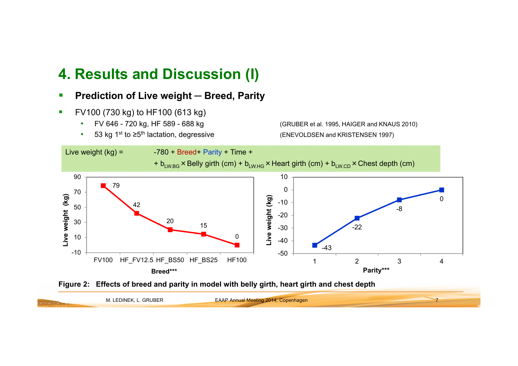#### **4. Results and Discussion (I)**

- $\overline{\phantom{a}}$ **Prediction of Live weight ─ Breed, Parity**
- Ī. FV100 (730 kg) to HF100 (613 kg)
	- •
	- •

 FV 646 - 720 kg, HF 589 - 688 kg (GRUBER et al. 1995, HAIGER and KNAUS 2010) 53 kg 1<sup>st</sup> to ≥5<sup>th</sup> lactation, degressive (ENEVOLDSEN and KRISTENSEN 1997)





|                                                                                                                                        | M. LEDINEK, L. GRUBER | <b>EAAP Annual Meeting 2014, Copenhagen</b> |  |
|----------------------------------------------------------------------------------------------------------------------------------------|-----------------------|---------------------------------------------|--|
| <u> The Company of the Company of The Company of The Company of The Company of The Company of The Company of The Co</u><br>----------- |                       |                                             |  |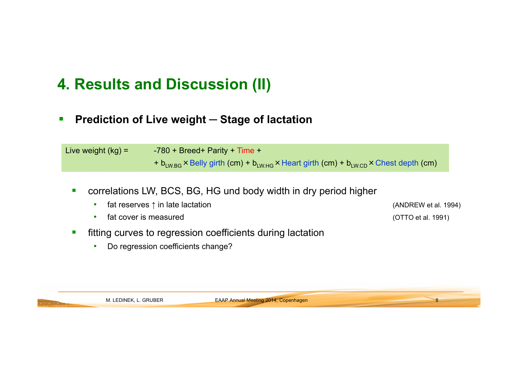### **4. Results and Discussion (II)**

 $\mathcal{L}_{\mathcal{A}}$ **Prediction of Live weight ─ Stage of lactation**

Live weight  $(kg) = -780 + Breed + Parity + Time +$ +  $b_{LWRG}$  × Belly girth (cm) +  $b_{LWHG}$  × Heart girth (cm) +  $b_{LWRCD}$  × Chest depth (cm)

- $\overline{\phantom{a}}$  correlations LW, BCS, BG, HG und body width in dry period higher
	- •fat reserves  $\uparrow$  in late lactation
	- •fat cover is measured

 $\mathcal{L}_{\mathcal{A}}$ 

- fitting curves to regression coefficients during lactation
	- •Do regression coefficients change?

 $(ANDREW et al. 1994)$ (OTTO et al. 1991)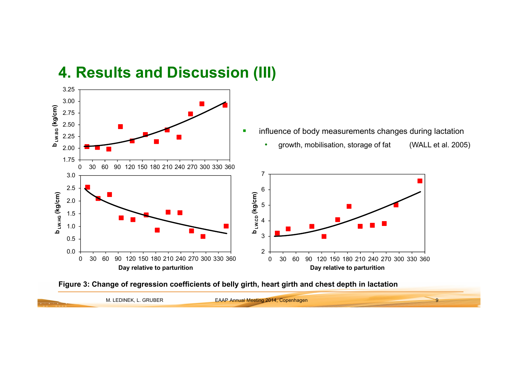

#### **4. Results and Discussion (III)**



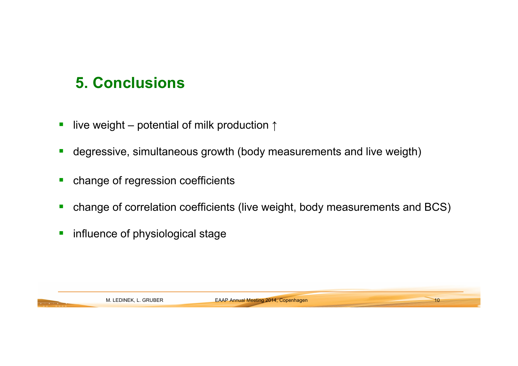### **5. Conclusions**

- $\overline{\phantom{a}}$ live weight – potential of milk production ↑
- $\blacksquare$ degressive, simultaneous growth (body measurements and live weigth)
- $\mathcal{L}_{\mathcal{A}}$ change of regression coefficients
- Г change of correlation coefficients (live weight, body measurements and BCS)
- $\blacksquare$ influence of physiological stage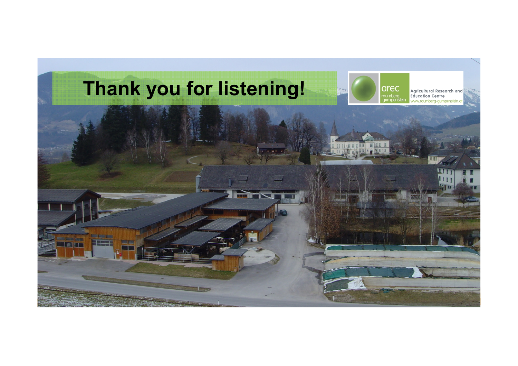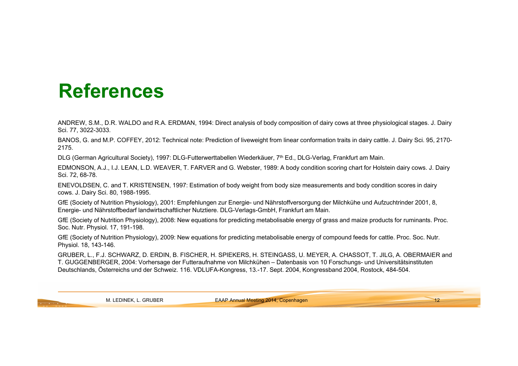## **References**

ANDREW, S.M., D.R. WALDO and R.A. ERDMAN, 1994: Direct analysis of body composition of dairy cows at three physiological stages. J. Dairy Sci. 77, 3022-3033.

BANOS, G. and M.P. COFFEY, 2012: Technical note: Prediction of liveweight from linear conformation traits in dairy cattle. J. Dairy Sci. 95, 2170- 2175.

DLG (German Agricultural Society), 1997: DLG-Futterwerttabellen Wiederkäuer, 7th Ed., DLG-Verlag, Frankfurt am Main.

EDMONSON, A.J., I.J. LEAN, L.D. WEAVER, T. FARVER and G. Webster, 1989: A body condition scoring chart for Holstein dairy cows. J. Dairy Sci. 72, 68-78.

ENEVOLDSEN, C. and T. KRISTENSEN, 1997: Estimation of body weight from body size measurements and body condition scores in dairy cows. J. Dairy Sci. 80, 1988-1995.

GfE (Society of Nutrition Physiology), 2001: Empfehlungen zur Energie- und Nährstoffversorgung der Milchkühe und Aufzuchtrinder 2001, 8, Energie- und Nährstoffbedarf landwirtschaftlicher Nutztiere. DLG-Verlags-GmbH, Frankfurt am Main.

GfE (Society of Nutrition Physiology), 2008: New equations for predicting metabolisable energy of grass and maize products for ruminants. Proc. Soc. Nutr. Physiol. 17, 191-198.

GfE (Society of Nutrition Physiology), 2009: New equations for predicting metabolisable energy of compound feeds for cattle. Proc. Soc. Nutr. Physiol. 18, 143-146.

GRUBER, L., F.J. SCHWARZ, D. ERDIN, B. FISCHER, H. SPIEKERS, H. STEINGASS, U. MEYER, A. CHASSOT, T. JILG, A. OBERMAIER and T. GUGGENBERGER, 2004: Vorhersage der Futteraufnahme von Milchkühen – Datenbasis von 10 Forschungs- und Universitätsinstituten Deutschlands, Österreichs und der Schweiz. 116. VDLUFA-Kongress, 13.-17. Sept. 2004, Kongressband 2004, Rostock, 484-504.

M. LEDINEK, L. GRUBER **EAAP Annual Meeting 2014, Copenhagen**